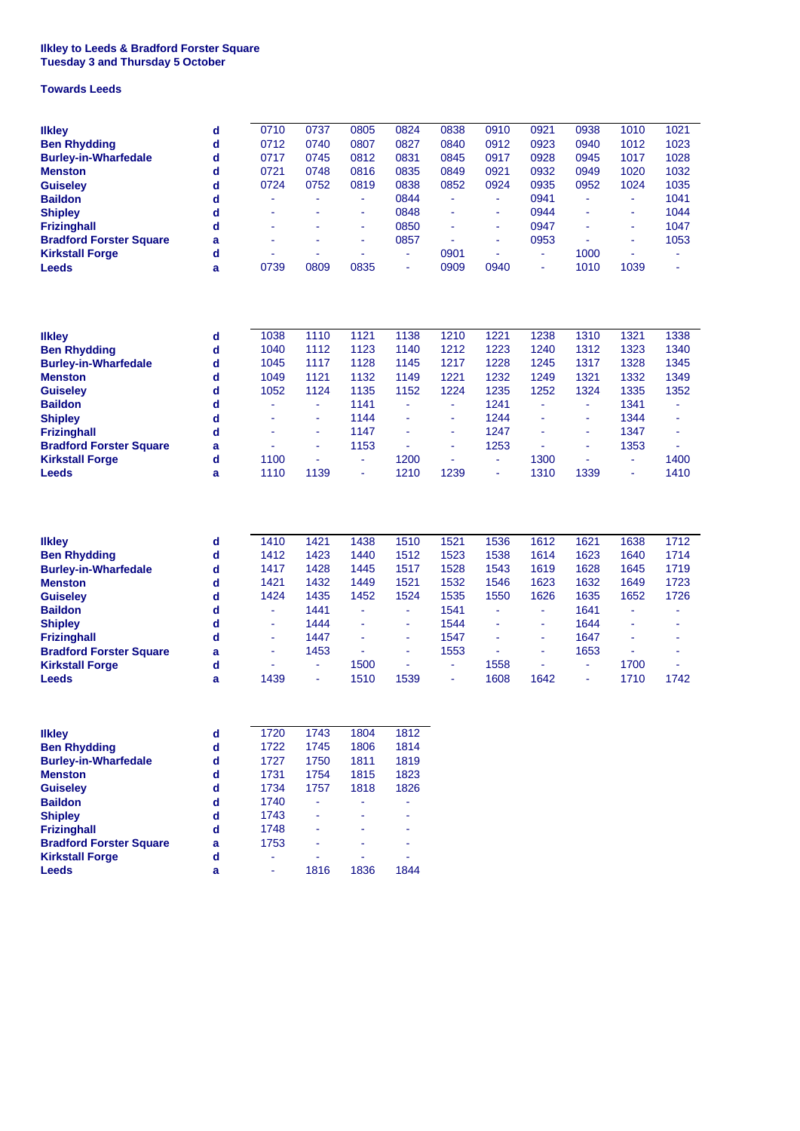## **Tuesday 3 and Thursday 5 October Ilkley to Leeds & Bradford Forster Square**

## **Towards Leeds**

| <b>Ilkley</b><br><b>Ben Rhydding</b><br><b>Burley-in-Wharfedale</b><br><b>Menston</b><br><b>Guiseley</b><br><b>Baildon</b><br><b>Shipley</b><br><b>Frizinghall</b><br><b>Bradford Forster Square</b><br><b>Kirkstall Forge</b><br><b>Leeds</b> | d<br>$\mathbf d$<br>$\mathbf d$<br>$\mathbf d$<br>$\mathbf d$<br>$\mathbf d$<br>$\mathbf d$<br>$\mathbf d$<br>a<br>$\mathbf d$<br>a | 0710<br>0712<br>0717<br>0721<br>0724<br>0739                              | 0737<br>0740<br>0745<br>0748<br>0752<br>ä,<br>۰<br>0809                         | 0805<br>0807<br>0812<br>0816<br>0819<br>٠<br>٠<br>۰<br>۰<br>0835               | 0824<br>0827<br>0831<br>0835<br>0838<br>0844<br>0848<br>0850<br>0857<br>٠<br>٠ | 0838<br>0840<br>0845<br>0849<br>0852<br>÷<br>ä,<br>ä,<br>L,<br>0901<br>0909                 | 0910<br>0912<br>0917<br>0921<br>0924<br>ä,<br>ä,<br>÷<br>ä,<br>0940            | 0921<br>0923<br>0928<br>0932<br>0935<br>0941<br>0944<br>0947<br>0953<br>٠ | 0938<br>0940<br>0945<br>0949<br>0952<br>1000<br>1010                           | 1010<br>1012<br>1017<br>1020<br>1024<br>ä,<br>ä,<br>ä,<br>÷<br>ä,<br>1039        | 1021<br>1023<br>1028<br>1032<br>1035<br>1041<br>1044<br>1047<br>1053 |
|------------------------------------------------------------------------------------------------------------------------------------------------------------------------------------------------------------------------------------------------|-------------------------------------------------------------------------------------------------------------------------------------|---------------------------------------------------------------------------|---------------------------------------------------------------------------------|--------------------------------------------------------------------------------|--------------------------------------------------------------------------------|---------------------------------------------------------------------------------------------|--------------------------------------------------------------------------------|---------------------------------------------------------------------------|--------------------------------------------------------------------------------|----------------------------------------------------------------------------------|----------------------------------------------------------------------|
| <b>Ilkley</b><br><b>Ben Rhydding</b><br><b>Burley-in-Wharfedale</b><br><b>Menston</b><br><b>Guiseley</b><br><b>Baildon</b><br><b>Shipley</b><br><b>Frizinghall</b><br><b>Bradford Forster Square</b><br><b>Kirkstall Forge</b><br><b>Leeds</b> | d<br>d<br>$\mathbf d$<br>$\mathbf d$<br>$\mathbf d$<br>$\mathbf d$<br>$\mathbf d$<br>$\mathbf d$<br>a<br>$\mathbf d$<br>a           | 1038<br>1040<br>1045<br>1049<br>1052<br>٠<br>1100<br>1110                 | 1110<br>1112<br>1117<br>1121<br>1124<br>÷,<br>ä,<br>ä,<br>ä,<br>1139            | 1121<br>1123<br>1128<br>1132<br>1135<br>1141<br>1144<br>1147<br>1153<br>۰<br>٠ | 1138<br>1140<br>1145<br>1149<br>1152<br>٠<br>٠<br>1200<br>1210                 | 1210<br>1212<br>1217<br>1221<br>1224<br>٠<br>٠<br>÷<br>٠<br>1239                            | 1221<br>1223<br>1228<br>1232<br>1235<br>1241<br>1244<br>1247<br>1253<br>٠<br>٠ | 1238<br>1240<br>1245<br>1249<br>1252<br>٠<br>1300<br>1310                 | 1310<br>1312<br>1317<br>1321<br>1324<br>٠<br>÷<br>÷<br>1339                    | 1321<br>1323<br>1328<br>1332<br>1335<br>1341<br>1344<br>1347<br>1353<br>÷,<br>ä, | 1338<br>1340<br>1345<br>1349<br>1352<br>٠<br>÷<br>ä,<br>1400<br>1410 |
| <b>Ilkley</b><br><b>Ben Rhydding</b><br><b>Burley-in-Wharfedale</b><br><b>Menston</b><br><b>Guiseley</b><br><b>Baildon</b><br><b>Shipley</b><br><b>Frizinghall</b><br><b>Bradford Forster Square</b><br><b>Kirkstall Forge</b><br><b>Leeds</b> | d<br>d<br>d<br>$\mathbf d$<br>$\mathbf d$<br>d<br>d<br>$\mathbf d$<br>a<br>d<br>a                                                   | 1410<br>1412<br>1417<br>1421<br>1424<br>٠<br>٠<br>٠<br>1439               | 1421<br>1423<br>1428<br>1432<br>1435<br>1441<br>1444<br>1447<br>1453<br>÷<br>ä, | 1438<br>1440<br>1445<br>1449<br>1452<br>۰<br>÷,<br>1500<br>1510                | 1510<br>1512<br>1517<br>1521<br>1524<br>ä,<br>٠<br>÷,<br>ä,<br>ä,<br>1539      | 1521<br>1523<br>1528<br>1532<br>1535<br>1541<br>1544<br>1547<br>1553<br>٠<br>$\blacksquare$ | 1536<br>1538<br>1543<br>1546<br>1550<br>٠<br>1558<br>1608                      | 1612<br>1614<br>1619<br>1623<br>1626<br>٠<br>٠<br>٠<br>٠<br>1642          | 1621<br>1623<br>1628<br>1632<br>1635<br>1641<br>1644<br>1647<br>1653<br>٠<br>٠ | 1638<br>1640<br>1645<br>1649<br>1652<br>÷,<br>÷,<br>1700<br>1710                 | 1712<br>1714<br>1719<br>1723<br>1726<br>٠<br>1742                    |
| <b>Ilkley</b><br><b>Ben Rhydding</b><br><b>Burley-in-Wharfedale</b><br><b>Menston</b><br><b>Guiseley</b><br><b>Baildon</b><br><b>Shipley</b><br><b>Frizinghall</b><br><b>Bradford Forster Square</b><br><b>Kirkstall Forge</b><br><b>Leeds</b> | $\mathbf d$<br>$\mathbf d$<br>$\mathbf d$<br>d<br>$\mathbf d$<br>d<br>d<br>d<br>a<br>$\mathbf d$<br>a                               | 1720<br>1722<br>1727<br>1731<br>1734<br>1740<br>1743<br>1748<br>1753<br>۰ | 1743<br>1745<br>1750<br>1754<br>1757<br>ä,<br>1816                              | 1804<br>1806<br>1811<br>1815<br>1818<br>1836                                   | 1812<br>1814<br>1819<br>1823<br>1826<br>1844                                   |                                                                                             |                                                                                |                                                                           |                                                                                |                                                                                  |                                                                      |